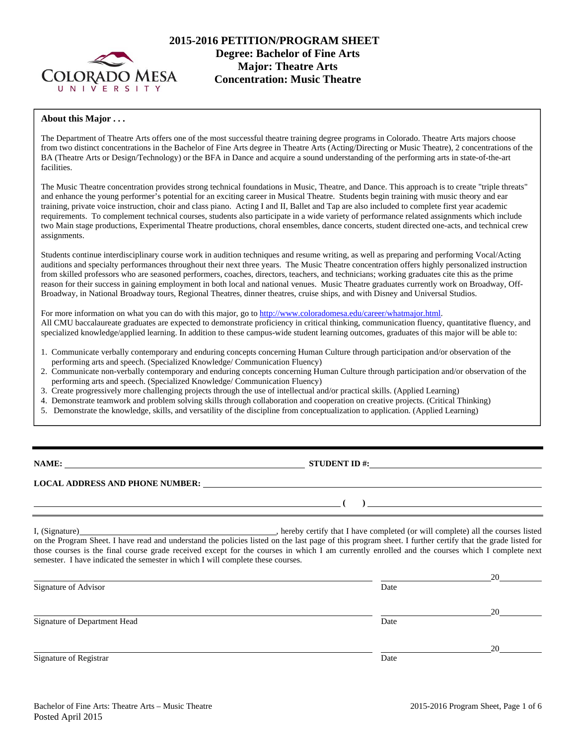

# **2015-2016 PETITION/PROGRAM SHEET Degree: Bachelor of Fine Arts Concentration: Music Theatre**

#### **About this Major . . .**

The Department of Theatre Arts offers one of the most successful theatre training degree programs in Colorado. Theatre Arts majors choose from two distinct concentrations in the Bachelor of Fine Arts degree in Theatre Arts (Acting/Directing or Music Theatre), 2 concentrations of the BA (Theatre Arts or Design/Technology) or the BFA in Dance and acquire a sound understanding of the performing arts in state-of-the-art facilities.

The Music Theatre concentration provides strong technical foundations in Music, Theatre, and Dance. This approach is to create "triple threats" and enhance the young performer's potential for an exciting career in Musical Theatre. Students begin training with music theory and ear training, private voice instruction, choir and class piano. Acting I and II, Ballet and Tap are also included to complete first year academic requirements. To complement technical courses, students also participate in a wide variety of performance related assignments which include two Main stage productions, Experimental Theatre productions, choral ensembles, dance concerts, student directed one-acts, and technical crew assignments.

Students continue interdisciplinary course work in audition techniques and resume writing, as well as preparing and performing Vocal/Acting auditions and specialty performances throughout their next three years. The Music Theatre concentration offers highly personalized instruction from skilled professors who are seasoned performers, coaches, directors, teachers, and technicians; working graduates cite this as the prime reason for their success in gaining employment in both local and national venues. Music Theatre graduates currently work on Broadway, Off-Broadway, in National Broadway tours, Regional Theatres, dinner theatres, cruise ships, and with Disney and Universal Studios.

For more information on what you can do with this major, go to http://www.coloradomesa.edu/career/whatmajor.html. All CMU baccalaureate graduates are expected to demonstrate proficiency in critical thinking, communication fluency, quantitative fluency, and specialized knowledge/applied learning. In addition to these campus-wide student learning outcomes, graduates of this major will be able to:

- 1. Communicate verbally contemporary and enduring concepts concerning Human Culture through participation and/or observation of the performing arts and speech. (Specialized Knowledge/ Communication Fluency)
- 2. Communicate non-verbally contemporary and enduring concepts concerning Human Culture through participation and/or observation of the performing arts and speech. (Specialized Knowledge/ Communication Fluency)
- 3. Create progressively more challenging projects through the use of intellectual and/or practical skills. (Applied Learning)
- 4. Demonstrate teamwork and problem solving skills through collaboration and cooperation on creative projects. (Critical Thinking)
- 5. Demonstrate the knowledge, skills, and versatility of the discipline from conceptualization to application. (Applied Learning)

**NAME:** <u>STUDENT ID #:</u> STUDENT ID #:

 **( )** 

**LOCAL ADDRESS AND PHONE NUMBER:**

I, (Signature) , hereby certify that I have completed (or will complete) all the courses listed on the Program Sheet. I have read and understand the policies listed on the last page of this program sheet. I further certify that the grade listed for those courses is the final course grade received except for the courses in which I am currently enrolled and the courses which I complete next semester. I have indicated the semester in which I will complete these courses.

|                              |      | 20 |
|------------------------------|------|----|
| Signature of Advisor         | Date |    |
|                              |      | 20 |
| Signature of Department Head | Date |    |
|                              |      | 20 |
| Signature of Registrar       | Date |    |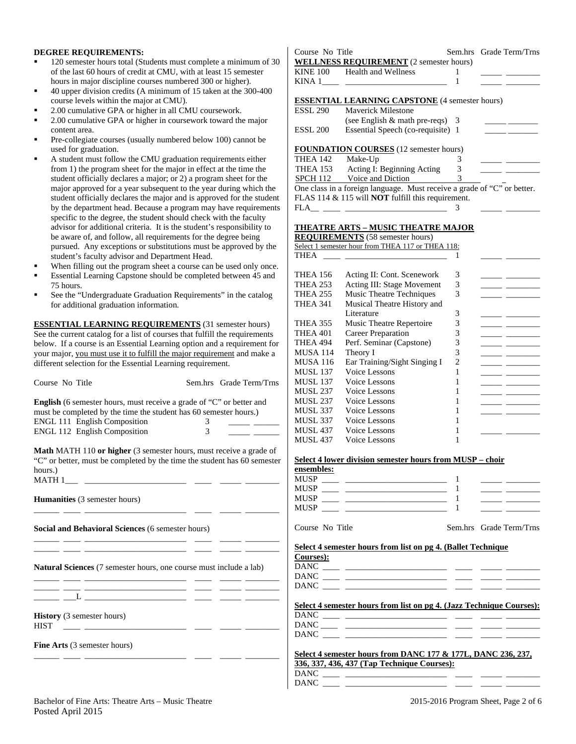#### **DEGREE REQUIREMENTS:**

- 120 semester hours total (Students must complete a minimum of 30 of the last 60 hours of credit at CMU, with at least 15 semester hours in major discipline courses numbered 300 or higher).
- 40 upper division credits (A minimum of 15 taken at the 300-400 course levels within the major at CMU).
- 2.00 cumulative GPA or higher in all CMU coursework.
- 2.00 cumulative GPA or higher in coursework toward the major content area.
- Pre-collegiate courses (usually numbered below 100) cannot be used for graduation.
- A student must follow the CMU graduation requirements either from 1) the program sheet for the major in effect at the time the student officially declares a major; or 2) a program sheet for the major approved for a year subsequent to the year during which the student officially declares the major and is approved for the student by the department head. Because a program may have requirements specific to the degree, the student should check with the faculty advisor for additional criteria. It is the student's responsibility to be aware of, and follow, all requirements for the degree being pursued. Any exceptions or substitutions must be approved by the student's faculty advisor and Department Head.
- When filling out the program sheet a course can be used only once.
- Essential Learning Capstone should be completed between 45 and 75 hours.
- See the "Undergraduate Graduation Requirements" in the catalog for additional graduation information.

**ESSENTIAL LEARNING REQUIREMENTS** (31 semester hours) See the current catalog for a list of courses that fulfill the requirements below. If a course is an Essential Learning option and a requirement for your major, you must use it to fulfill the major requirement and make a different selection for the Essential Learning requirement.

|                                                                                                                      |                                       |                                                                                                                                                                                                                                      | MUSL 15            |
|----------------------------------------------------------------------------------------------------------------------|---------------------------------------|--------------------------------------------------------------------------------------------------------------------------------------------------------------------------------------------------------------------------------------|--------------------|
| Course No Title                                                                                                      |                                       | Sem.hrs Grade Term/Trns                                                                                                                                                                                                              | <b>MUSL 13</b>     |
|                                                                                                                      |                                       |                                                                                                                                                                                                                                      | MUSL <sub>23</sub> |
| <b>English</b> (6 semester hours, must receive a grade of "C" or better and                                          |                                       |                                                                                                                                                                                                                                      | MUSL <sub>23</sub> |
| must be completed by the time the student has 60 semester hours.)                                                    |                                       |                                                                                                                                                                                                                                      | MUSL <sub>33</sub> |
| ENGL 111 English Composition                                                                                         | 3 <sup>7</sup>                        | <u> Alberta Communication (Communication (Communication (Communication (Communication (Communication (Communication (Communication (Communication (Communication (Communication (Communication (Communication (Communication (Co</u> | MUSL <sub>33</sub> |
| ENGL 112 English Composition                                                                                         | $\begin{array}{c} 3 \\ 3 \end{array}$ | <u>and the state of the state</u>                                                                                                                                                                                                    | MUSL 43            |
|                                                                                                                      |                                       |                                                                                                                                                                                                                                      | MUSL 43            |
| <b>Math MATH 110 or higher</b> (3 semester hours, must receive a grade of                                            |                                       |                                                                                                                                                                                                                                      |                    |
| "C" or better, must be completed by the time the student has 60 semester                                             |                                       |                                                                                                                                                                                                                                      | Select 4 1         |
| hours.)                                                                                                              |                                       |                                                                                                                                                                                                                                      | ensemble           |
|                                                                                                                      |                                       |                                                                                                                                                                                                                                      | MUSP               |
|                                                                                                                      |                                       |                                                                                                                                                                                                                                      | MUSP               |
|                                                                                                                      |                                       |                                                                                                                                                                                                                                      | MUSP_              |
| <b>Humanities</b> (3 semester hours)                                                                                 |                                       |                                                                                                                                                                                                                                      | MUSP               |
| <u> 1999 - Johann John Harry Harry Harry Harry Barnett, amerikan bisher baser og blev blev blev blev blev blev b</u> |                                       |                                                                                                                                                                                                                                      |                    |
| Social and Behavioral Sciences (6 semester hours)                                                                    |                                       |                                                                                                                                                                                                                                      | Course N           |
|                                                                                                                      |                                       |                                                                                                                                                                                                                                      | Select 4 s         |
|                                                                                                                      |                                       |                                                                                                                                                                                                                                      | Courses)           |
| <b>Natural Sciences</b> (7 semester hours, one course must include a lab)                                            |                                       |                                                                                                                                                                                                                                      | DANC _             |
|                                                                                                                      |                                       |                                                                                                                                                                                                                                      | DANC _             |
| <u> 22 maart - Samuel Samuel Samuel (1982), seeraal een senaal een van de steedste van de steedste van de steeds</u> |                                       |                                                                                                                                                                                                                                      | DANC               |
|                                                                                                                      |                                       |                                                                                                                                                                                                                                      |                    |
| ____ __L ____________________ _____ _____ _____                                                                      |                                       |                                                                                                                                                                                                                                      |                    |
|                                                                                                                      |                                       |                                                                                                                                                                                                                                      | Select 4 s         |
| <b>History</b> (3 semester hours)                                                                                    |                                       |                                                                                                                                                                                                                                      | DANC_              |
| <b>HIST</b>                                                                                                          |                                       |                                                                                                                                                                                                                                      | DANC_              |
|                                                                                                                      |                                       |                                                                                                                                                                                                                                      | DANC_              |
| <b>Fine Arts</b> (3 semester hours)                                                                                  |                                       |                                                                                                                                                                                                                                      |                    |
|                                                                                                                      |                                       |                                                                                                                                                                                                                                      | Select 4 s         |
|                                                                                                                      |                                       |                                                                                                                                                                                                                                      | 336, 337,          |
|                                                                                                                      |                                       |                                                                                                                                                                                                                                      | DANC_              |
|                                                                                                                      |                                       |                                                                                                                                                                                                                                      | <b>DANC</b>        |

| Course No Title  |                                                                         |   | Sem.hrs Grade Term/Trns                     |
|------------------|-------------------------------------------------------------------------|---|---------------------------------------------|
|                  | <b>WELLNESS REQUIREMENT</b> (2 semester hours)                          |   |                                             |
|                  | KINE 100 Health and Wellness                                            | 1 |                                             |
|                  |                                                                         | 1 |                                             |
|                  |                                                                         |   |                                             |
|                  | <b>ESSENTIAL LEARNING CAPSTONE</b> (4 semester hours)                   |   |                                             |
| ESSL 290         | Maverick Milestone                                                      |   |                                             |
|                  | (see English $\&$ math pre-reqs) 3                                      |   |                                             |
| ESSL 200         | Essential Speech (co-requisite) 1                                       |   | <u> 1990 - Jan James James Barnett, p</u>   |
|                  |                                                                         |   |                                             |
|                  | <b>FOUNDATION COURSES</b> (12 semester hours)                           |   |                                             |
| THEA 142 Make-Up |                                                                         | 3 |                                             |
|                  | THEA 153 Acting I: Beginning Acting                                     | 3 | <u> 1989 - Alexandr Alexandr III et al.</u> |
|                  | SPCH 112 Voice and Diction 3                                            |   |                                             |
|                  | One class in a foreign language. Must receive a grade of "C" or better. |   |                                             |
|                  | FLAS 114 & 115 will <b>NOT</b> fulfill this requirement.                |   |                                             |
|                  | $FLA$ <sub>___</sub> ____ ______________________                        | 3 |                                             |
|                  |                                                                         |   |                                             |
|                  | <b>THEATRE ARTS – MUSIC THEATRE MAJOR</b>                               |   |                                             |
|                  | <b>REQUIREMENTS</b> (58 semester hours)                                 |   |                                             |
|                  | Select 1 semester hour from THEA 117 or THEA 118:                       |   |                                             |
| THEA             |                                                                         |   |                                             |
|                  |                                                                         |   |                                             |
|                  | THEA 156 Acting II: Cont. Scenework                                     | 3 |                                             |
|                  | $\pi$                                                                   |   |                                             |

| THEA 156        | Acting II: Cont. Scenework   | 3 |  |
|-----------------|------------------------------|---|--|
| THEA 253        | Acting III: Stage Movement   | 3 |  |
| <b>THEA 255</b> | Music Theatre Techniques     | 3 |  |
| <b>THEA 341</b> | Musical Theatre History and  |   |  |
|                 | Literature                   | 3 |  |
| THEA 355        | Music Theatre Repertoire     | 3 |  |
| THEA 401        | Career Preparation           | 3 |  |
| THEA 494        | Perf. Seminar (Capstone)     | 3 |  |
| MUSA 114        | Theory I                     | 3 |  |
| MUSA 116        | Ear Training/Sight Singing I | 2 |  |
| MUSL 137        | Voice Lessons                |   |  |
| MUSL 137        | Voice Lessons                |   |  |
| MUSL 237        | Voice Lessons                |   |  |
| MUSL 237        | Voice Lessons                |   |  |
| MUSL 337        | Voice Lessons                |   |  |
| <b>MUSL 337</b> | Voice Lessons                |   |  |
| MUSL 437        | Voice Lessons                |   |  |
| MUSL 437        | Voice Lessons                |   |  |
|                 |                              |   |  |

#### **Select 4 lower division semester hours from MUSP – choir**

| ensembles: |  |  |
|------------|--|--|
| MUSP       |  |  |
| MUSP       |  |  |
| MUSP       |  |  |
| MUSP       |  |  |
|            |  |  |

Course No Title Sem.hrs Grade Term/Trns

|  |  |  |  | Select 4 semester hours from list on pg 4. (Ballet Technique |
|--|--|--|--|--------------------------------------------------------------|
|  |  |  |  |                                                              |

| Courses):   |  |  |
|-------------|--|--|
| <b>DANC</b> |  |  |
| <b>DANC</b> |  |  |
| <b>DANC</b> |  |  |
|             |  |  |

#### **Select 4 semester hours from list on pg 4. (Jazz Technique Courses):**  DANC \_\_\_\_ \_\_\_\_\_\_\_\_\_\_\_\_\_\_\_\_\_\_\_\_\_\_\_\_ \_\_\_\_ \_\_\_\_\_ \_\_\_\_\_\_\_\_

| ----         |  |  |  |
|--------------|--|--|--|
| DANC         |  |  |  |
| DANC<br>DANC |  |  |  |

| Select 4 semester hours from DANC 177 & 177L, DANC 236, 237, |
|--------------------------------------------------------------|
| 336, 337, 436, 437 (Tap Technique Courses):                  |
| DANC                                                         |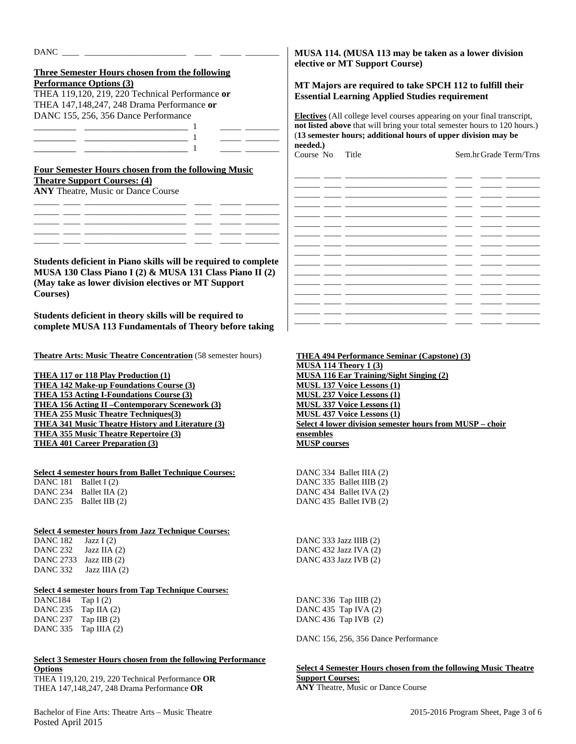|          | <b>Three Semester Hours chosen from the following</b>                                                                  |
|----------|------------------------------------------------------------------------------------------------------------------------|
|          | <b>Performance Options (3)</b>                                                                                         |
|          | THEA 119,120, 219, 220 Technical Performance or                                                                        |
|          | THEA 147,148,247, 248 Drama Performance or                                                                             |
|          | DANC 155, 256, 356 Dance Performance                                                                                   |
|          |                                                                                                                        |
|          | <u> The Common School (1988)</u>                                                                                       |
|          |                                                                                                                        |
|          |                                                                                                                        |
|          | <b>Four Semester Hours chosen from the following Music</b>                                                             |
|          | <b>Theatre Support Courses: (4)</b>                                                                                    |
|          | <b>ANY</b> Theatre, Music or Dance Course                                                                              |
|          |                                                                                                                        |
|          | <u> 1989 - Johann John Harry Harry Harry Harry Harry Harry Harry Harry Harry Harry Harry Harry Harry Harry Harry H</u> |
|          |                                                                                                                        |
|          |                                                                                                                        |
|          |                                                                                                                        |
|          |                                                                                                                        |
|          | Students deficient in Piano skills will be required to complete                                                        |
|          | MUSA 130 Class Piano I (2) & MUSA 131 Class Piano II (2)                                                               |
|          |                                                                                                                        |
| Courses) | (May take as lower division electives or MT Support                                                                    |
|          |                                                                                                                        |
|          | Students deficient in theory skills will be required to                                                                |
|          | complete MUSA 113 Fundamentals of Theory before taking                                                                 |
|          |                                                                                                                        |
|          |                                                                                                                        |
|          | <b>Theatre Arts: Music Theatre Concentration (58 semester hours)</b>                                                   |
|          |                                                                                                                        |
|          | <b>THEA 117 or 118 Play Production (1)</b>                                                                             |
|          | <b>THEA 142 Make-up Foundations Course (3)</b>                                                                         |
|          | <b>THEA 153 Acting I-Foundations Course (3)</b><br><b>THEA 156 Acting II - Contemporary Scenework (3)</b>              |

**THEA 255 Music Theatre Techniques(3) THEA 341 Music Theatre History and Literature (3)** 

**THEA 355 Music Theatre Repertoire (3) THEA 401 Career Preparation (3)** 

### **Select 4 semester hours from Ballet Technique Courses:**

DANC 181 Ballet I (2) DANC 234 Ballet IIA (2) DANC 235 Ballet IIB (2)

### **Select 4 semester hours from Jazz Technique Courses:**

DANC 182 Jazz I (2) DANC 232 Jazz IIA (2) DANC 2733 Jazz IIB (2) DANC 332 Jazz IIIA  $(2)$ 

### **Select 4 semester hours from Tap Technique Courses:**

DANC184 Tap I (2) DANC 235 Tap IIA (2) DANC 237 Tap IIB (2) DANC 335 Tap IIIA (2)

## **Select 3 Semester Hours chosen from the following Performance Options**

THEA 119,120, 219, 220 Technical Performance **OR**  THEA 147,148,247, 248 Drama Performance **OR** 

Bachelor of Fine Arts: Theatre Arts – Music Theatre 2015-2016 Program Sheet, Page 3 of 6 Posted April 2015

## **MUSA 114. (MUSA 113 may be taken as a lower division elective or MT Support Course)**

## **MT Majors are required to take SPCH 112 to fulfill their Essential Learning Applied Studies requirement**

**Electives** (All college level courses appearing on your final transcript, **not listed above** that will bring your total semester hours to 120 hours.) (**13 semester hours; additional hours of upper division may be needed.)** 

Course No Title Sem.hr Grade Term/Trns

|  |                          | - 1                      |  |
|--|--------------------------|--------------------------|--|
|  | Ξ.                       |                          |  |
|  |                          |                          |  |
|  | $\overline{\phantom{0}}$ | $\overline{\phantom{a}}$ |  |
|  |                          |                          |  |
|  | Ξ.                       | $\overline{\phantom{0}}$ |  |
|  | $\overline{\phantom{0}}$ | $\sim$                   |  |
|  |                          | $\overline{\phantom{a}}$ |  |
|  | $\overline{\phantom{0}}$ | - 1                      |  |
|  |                          |                          |  |
|  | —                        |                          |  |
|  |                          | $\overline{\phantom{a}}$ |  |
|  |                          |                          |  |
|  | $\overline{\phantom{0}}$ | - -                      |  |

**THEA 494 Performance Seminar (Capstone) (3) MUSA 114 Theory 1 (3) MUSA 116 Ear Training/Sight Singing (2) MUSL 137 Voice Lessons (1) MUSL 237 Voice Lessons (1) MUSL 337 Voice Lessons (1) MUSL 437 Voice Lessons (1) Select 4 lower division semester hours from MUSP – choir ensembles MUSP courses**

DANC 334 Ballet IIIA (2)

DANC 335 Ballet IIIB (2) DANC 434 Ballet IVA (2) DANC 435 Ballet IVB (2)

DANC 333 Jazz IIIB (2) DANC 432 Jazz IVA (2) DANC 433 Jazz IVB (2)

DANC 336 Tap IIIB (2) DANC 435 Tap IVA (2) DANC 436 Tap IVB (2)

DANC 156, 256, 356 Dance Performance

# **Select 4 Semester Hours chosen from the following Music Theatre Support Courses:**

**ANY** Theatre, Music or Dance Course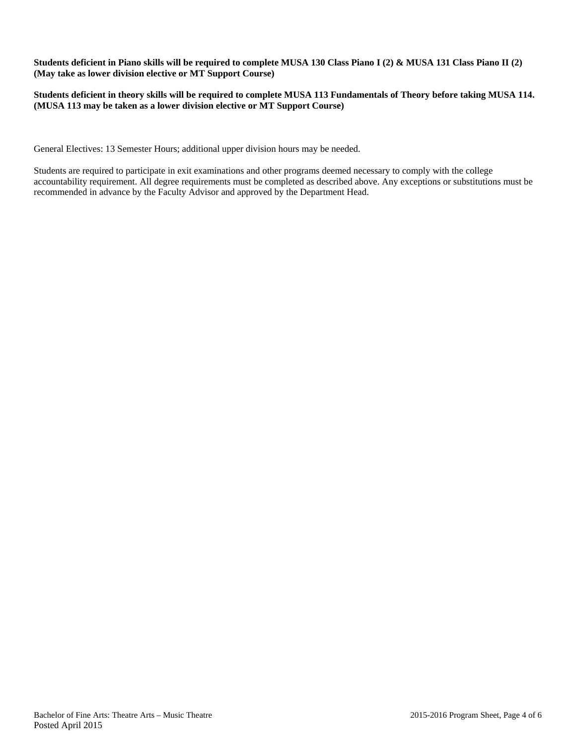**Students deficient in Piano skills will be required to complete MUSA 130 Class Piano I (2) & MUSA 131 Class Piano II (2) (May take as lower division elective or MT Support Course)** 

**Students deficient in theory skills will be required to complete MUSA 113 Fundamentals of Theory before taking MUSA 114. (MUSA 113 may be taken as a lower division elective or MT Support Course)** 

General Electives: 13 Semester Hours; additional upper division hours may be needed.

Students are required to participate in exit examinations and other programs deemed necessary to comply with the college accountability requirement. All degree requirements must be completed as described above. Any exceptions or substitutions must be recommended in advance by the Faculty Advisor and approved by the Department Head.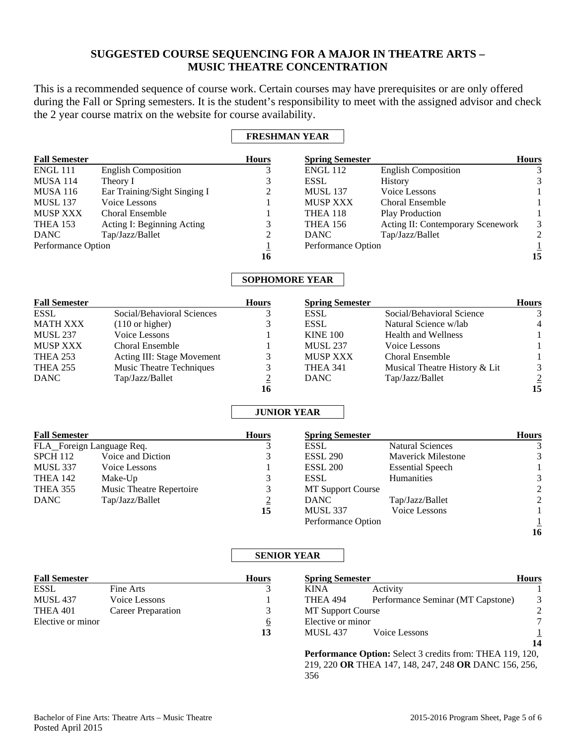# **SUGGESTED COURSE SEQUENCING FOR A MAJOR IN THEATRE ARTS – MUSIC THEATRE CONCENTRATION**

This is a recommended sequence of course work. Certain courses may have prerequisites or are only offered during the Fall or Spring semesters. It is the student's responsibility to meet with the assigned advisor and check the 2 year course matrix on the website for course availability.

# **FRESHMAN YEAR**

|                              | <b>Hours</b> |                 |                            | <b>Hours</b>                                                                      |
|------------------------------|--------------|-----------------|----------------------------|-----------------------------------------------------------------------------------|
| <b>English Composition</b>   |              | <b>ENGL 112</b> | <b>English Composition</b> |                                                                                   |
| Theory I                     |              | <b>ESSL</b>     | <b>History</b>             |                                                                                   |
| Ear Training/Sight Singing I | 2            | <b>MUSL 137</b> | Voice Lessons              |                                                                                   |
| Voice Lessons                |              | <b>MUSP XXX</b> | <b>Choral Ensemble</b>     |                                                                                   |
| <b>Choral Ensemble</b>       |              | THEA 118        | <b>Play Production</b>     |                                                                                   |
| Acting I: Beginning Acting   | 3            | <b>THEA 156</b> |                            | 3                                                                                 |
| Tap/Jazz/Ballet              | 2            | <b>DANC</b>     | Tap/Jazz/Ballet            |                                                                                   |
| Performance Option           |              |                 |                            |                                                                                   |
|                              | 16           |                 |                            | 15                                                                                |
|                              |              |                 |                            | <b>Spring Semester</b><br>Acting II: Contemporary Scenework<br>Performance Option |

## **SOPHOMORE YEAR**

| <b>Fall Semester</b> |                                 | <b>Hours</b> | <b>Spring Semester</b> |                               | <b>Hours</b>   |
|----------------------|---------------------------------|--------------|------------------------|-------------------------------|----------------|
| <b>ESSL</b>          | Social/Behavioral Sciences      |              | <b>ESSL</b>            | Social/Behavioral Science     |                |
| MATH XXX             | $(110 \text{ or higher})$       |              | ESSL                   | Natural Science w/lab         | $\overline{4}$ |
| <b>MUSL 237</b>      | Voice Lessons                   |              | <b>KINE 100</b>        | <b>Health and Wellness</b>    |                |
| MUSP XXX             | <b>Choral Ensemble</b>          |              | <b>MUSL 237</b>        | Voice Lessons                 |                |
| <b>THEA 253</b>      | Acting III: Stage Movement      |              | <b>MUSP XXX</b>        | <b>Choral Ensemble</b>        |                |
| <b>THEA 255</b>      | <b>Music Theatre Techniques</b> |              | THEA 341               | Musical Theatre History & Lit | 3              |
| <b>DANC</b>          | Tap/Jazz/Ballet                 |              | <b>DANC</b>            | Tap/Jazz/Ballet               | $\overline{2}$ |
|                      |                                 | 16           |                        |                               | 15             |

# **JUNIOR YEAR**

| <b>Fall Semester</b>      |                          | <b>Hours</b> | <b>Spring Semester</b>   |                           | <b>Hours</b>  |
|---------------------------|--------------------------|--------------|--------------------------|---------------------------|---------------|
| FLA_Foreign Language Req. |                          |              | <b>ESSL</b>              | <b>Natural Sciences</b>   |               |
| <b>SPCH 112</b>           | Voice and Diction        |              | <b>ESSL 290</b>          | <b>Maverick Milestone</b> | 3             |
| MUSL 337                  | Voice Lessons            |              | <b>ESSL 200</b>          | <b>Essential Speech</b>   |               |
| THEA 142                  | Make-Up                  |              | <b>ESSL</b>              | <b>Humanities</b>         | 3             |
| THEA 355                  | Music Theatre Repertoire |              | <b>MT Support Course</b> |                           | 2             |
| DANC                      | Tap/Jazz/Ballet          |              | <b>DANC</b>              | Tap/Jazz/Ballet           | $\mathcal{L}$ |
|                           |                          | 15           | <b>MUSL 337</b>          | Voice Lessons             |               |
|                           |                          |              | Performance Option       |                           |               |
|                           |                          |              |                          |                           | 16            |

## **SENIOR YEAR**

| <b>Fall Semester</b> |                    | <b>Hours</b>            | <b>Spring Semester</b>   |                                   | <b>Hours</b> |
|----------------------|--------------------|-------------------------|--------------------------|-----------------------------------|--------------|
| <b>ESSL</b>          | Fine Arts          |                         | <b>KINA</b>              | Activity                          |              |
| <b>MUSL 437</b>      | Voice Lessons      |                         | THEA 494                 | Performance Seminar (MT Capstone) | 3            |
| THEA 401             | Career Preparation |                         | <b>MT Support Course</b> |                                   | 2            |
| Elective or minor    |                    | $\overline{\mathbf{o}}$ | Elective or minor        |                                   |              |
|                      |                    | 13                      | <b>MUSL 437</b>          | Voice Lessons                     |              |
|                      |                    |                         |                          |                                   | 14           |

**Performance Option:** Select 3 credits from: THEA 119, 120, 219, 220 **OR** THEA 147, 148, 247, 248 **OR** DANC 156, 256, 356

**16**